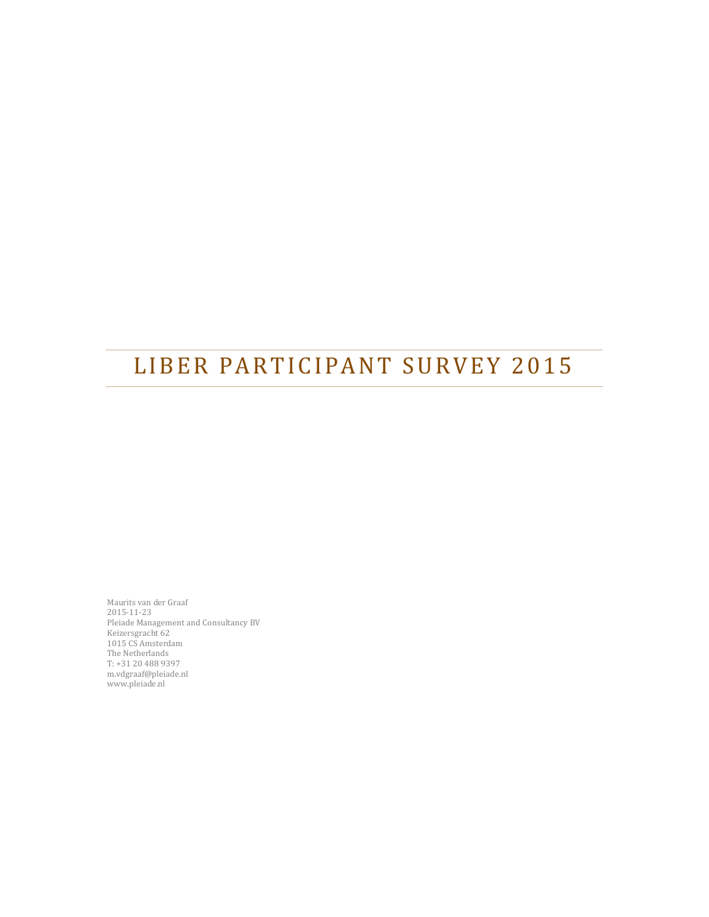# LIBER PARTICIPANT SURVEY 2015

Maurits van der Graaf 2015‐11‐23 Pleiade Management and Consultancy BV Keizersgracht 62 1015 CS Amsterdam The Netherlands T: +31 20 488 9397 m.vdgraaf@pleiade.nl www.pleiade.nl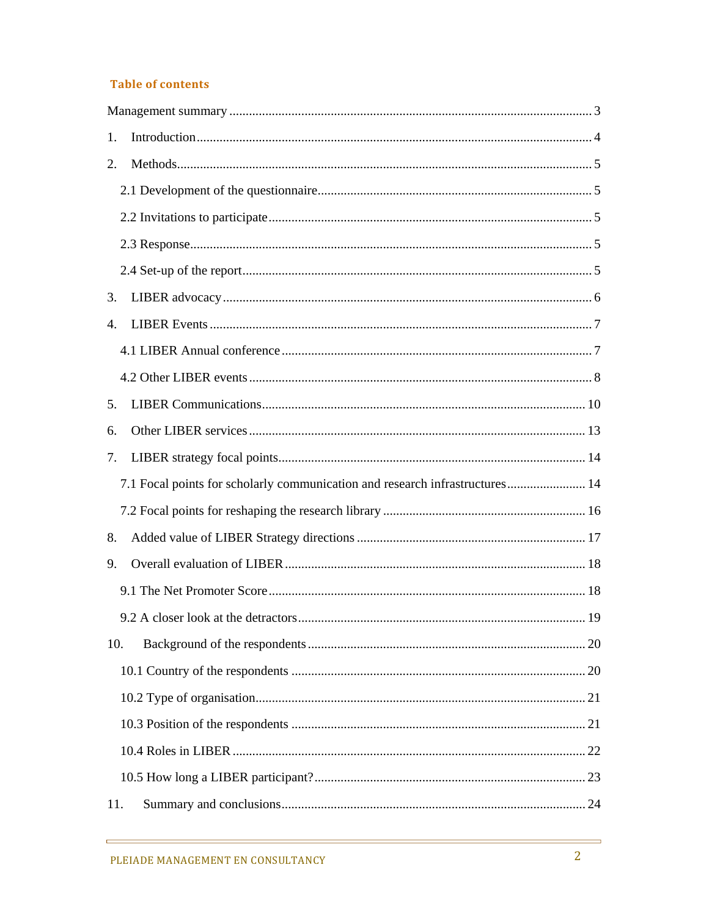#### **Table of contents**

| 1.                                                                           |  |
|------------------------------------------------------------------------------|--|
| 2.                                                                           |  |
|                                                                              |  |
|                                                                              |  |
|                                                                              |  |
|                                                                              |  |
| 3.                                                                           |  |
| 4.                                                                           |  |
|                                                                              |  |
|                                                                              |  |
| 5.                                                                           |  |
| 6.                                                                           |  |
| 7.                                                                           |  |
| 7.1 Focal points for scholarly communication and research infrastructures 14 |  |
|                                                                              |  |
| 8.                                                                           |  |
| 9.                                                                           |  |
|                                                                              |  |
|                                                                              |  |
| 10.                                                                          |  |
|                                                                              |  |
|                                                                              |  |
|                                                                              |  |
|                                                                              |  |
|                                                                              |  |
| 11.                                                                          |  |

<u> 1989 - Johann Barn, mars eta bainar eta idazlea (</u>

 $\frac{1}{\sqrt{1-\frac{1}{2}}}$ 

 $\overline{\phantom{0}}$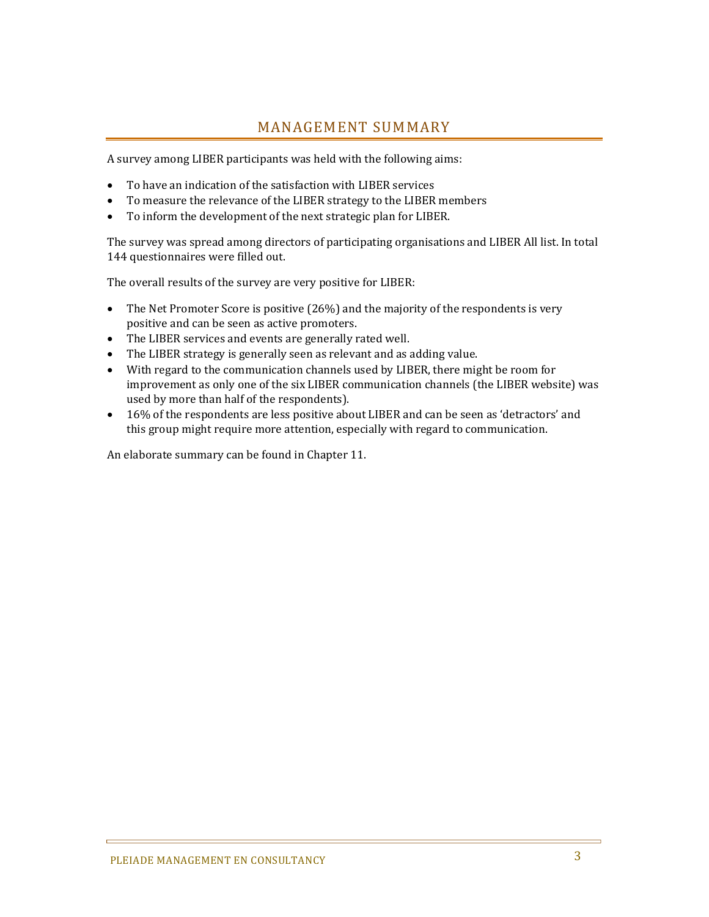### MANAGEMENT SUMMARY

A survey among LIBER participants was held with the following aims:

- To have an indication of the satisfaction with LIBER services
- To measure the relevance of the LIBER strategy to the LIBER members
- To inform the development of the next strategic plan for LIBER.

The survey was spread among directors of participating organisations and LIBER All list. In total 144 questionnaires were filled out.

The overall results of the survey are very positive for LIBER:

- The Net Promoter Score is positive  $(26%)$  and the majority of the respondents is very positive and can be seen as active promoters.
- The LIBER services and events are generally rated well.
- The LIBER strategy is generally seen as relevant and as adding value.
- With regard to the communication channels used by LIBER, there might be room for improvement as only one of the six LIBER communication channels (the LIBER website) was used by more than half of the respondents).
- 16% of the respondents are less positive about LIBER and can be seen as 'detractors' and this group might require more attention, especially with regard to communication.

An elaborate summary can be found in Chapter 11.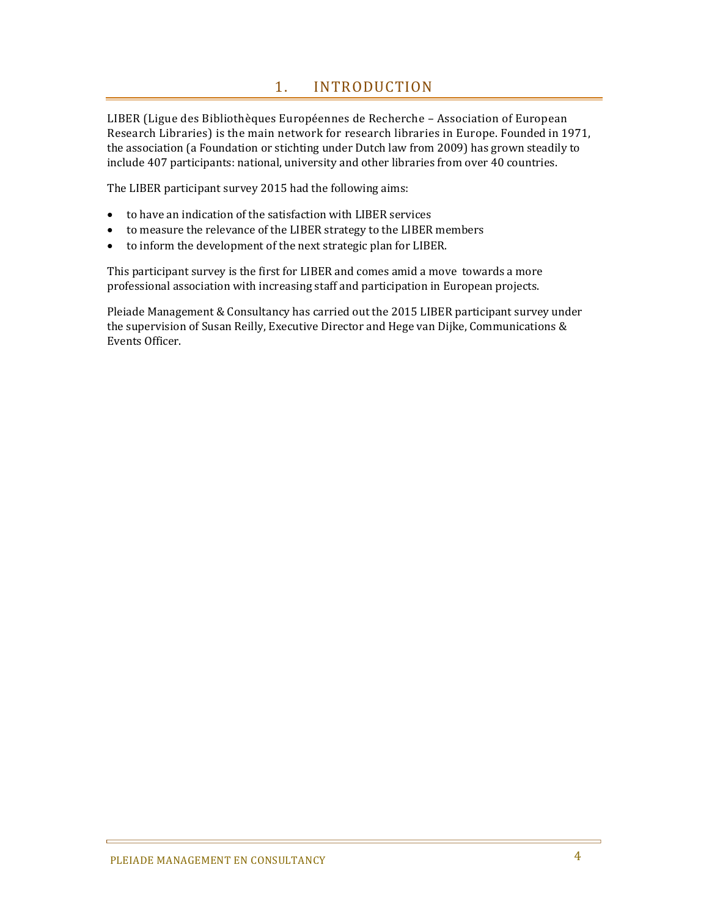### 1. INTRODUCTION

LIBER (Ligue des Bibliothèques Européennes de Recherche – Association of European Research Libraries) is the main network for research libraries in Europe. Founded in 1971, the association (a Foundation or stichting under Dutch law from 2009) has grown steadily to include 407 participants: national, university and other libraries from over 40 countries.

The LIBER participant survey 2015 had the following aims:

- to have an indication of the satisfaction with LIBER services
- to measure the relevance of the LIBER strategy to the LIBER members
- to inform the development of the next strategic plan for LIBER.

This participant survey is the first for LIBER and comes amid a move towards a more professional association with increasing staff and participation in European projects.

Pleiade Management & Consultancy has carried out the 2015 LIBER participant survey under the supervision of Susan Reilly, Executive Director and Hege van Dijke, Communications & Events Officer.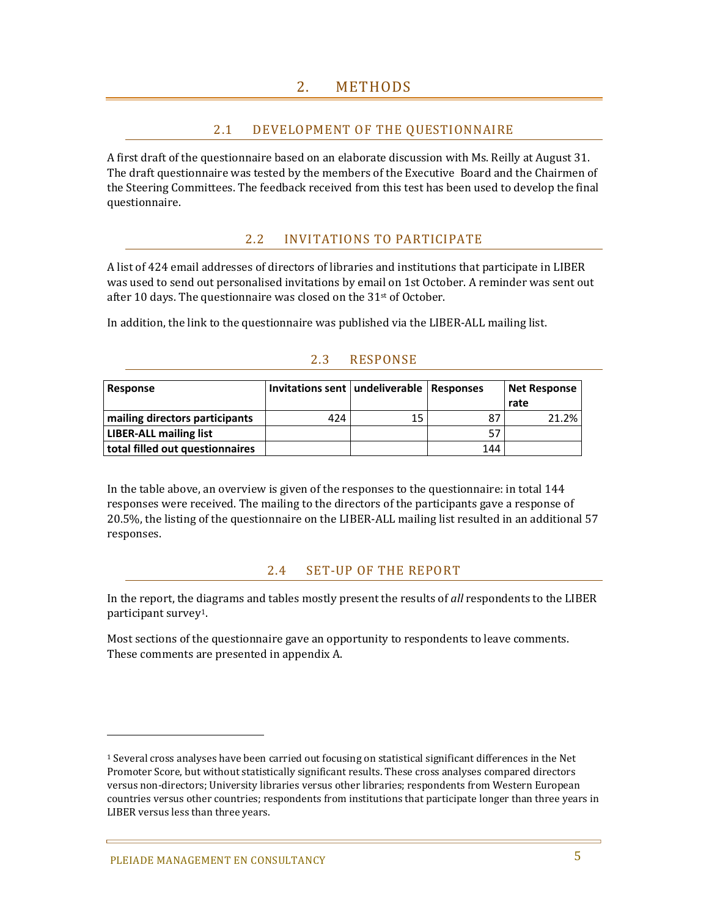### 2.1 DEVELOPMENT OF THE QUESTIONNAIRE

A first draft of the questionnaire based on an elaborate discussion with Ms. Reilly at August 31. The draft questionnaire was tested by the members of the Executive Board and the Chairmen of the Steering Committees. The feedback received from this test has been used to develop the final questionnaire. 

### 2.2 INVITATIONS TO PARTICIPATE

A list of 424 email addresses of directors of libraries and institutions that participate in LIBER was used to send out personalised invitations by email on 1st October. A reminder was sent out after 10 days. The questionnaire was closed on the  $31<sup>st</sup>$  of October.

In addition, the link to the questionnaire was published via the LIBER-ALL mailing list.

| Response                        | Invitations sent   undeliverable   Responses |    |     | Net Response<br>rate |
|---------------------------------|----------------------------------------------|----|-----|----------------------|
| mailing directors participants  | 424                                          | 15 | 87  | 21.2%                |
| <b>LIBER-ALL mailing list</b>   |                                              |    | 57  |                      |
| total filled out questionnaires |                                              |    | 144 |                      |

### 2.3 RESPONSE

In the table above, an overview is given of the responses to the questionnaire: in total 144 responses were received. The mailing to the directors of the participants gave a response of 20.5%, the listing of the questionnaire on the LIBER-ALL mailing list resulted in an additional 57 responses. 

#### 2.4 SET-UP OF THE REPORT

In the report, the diagrams and tables mostly present the results of *all* respondents to the LIBER participant survey<sup>1</sup>.

Most sections of the questionnaire gave an opportunity to respondents to leave comments. These comments are presented in appendix A.

 

<sup>&</sup>lt;sup>1</sup> Several cross analyses have been carried out focusing on statistical significant differences in the Net Promoter Score, but without statistically significant results. These cross analyses compared directors versus non-directors; University libraries versus other libraries; respondents from Western European countries versus other countries; respondents from institutions that participate longer than three years in LIBER versus less than three years.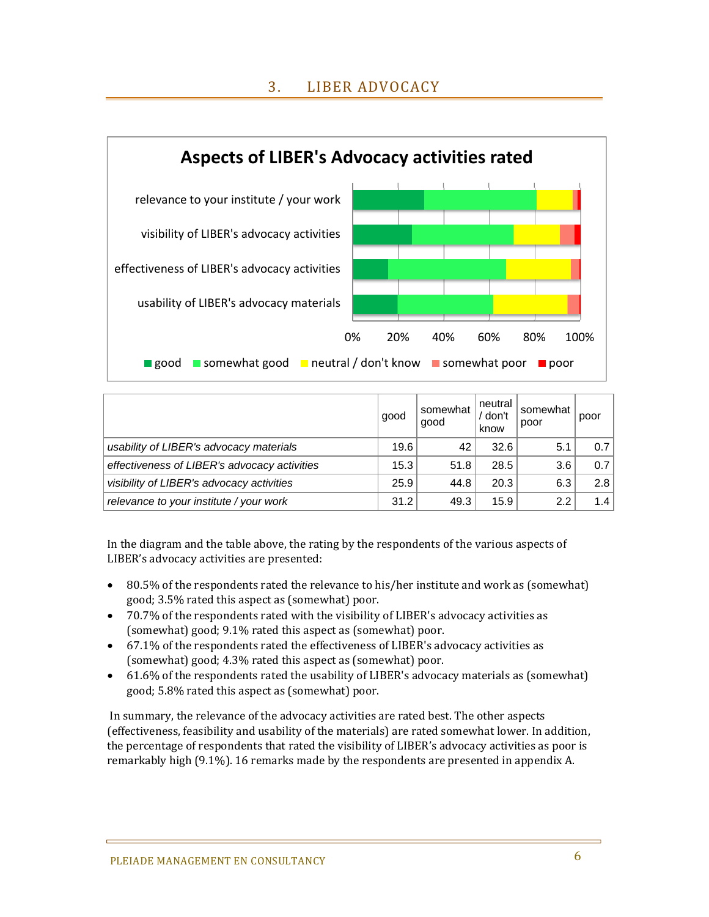### 3. LIBER ADVOCACY



|                                              | good | somewhat<br>good | neutral<br>' don't<br>know | somewhat<br>poor | poor |
|----------------------------------------------|------|------------------|----------------------------|------------------|------|
| usability of LIBER's advocacy materials      | 19.6 | 42               | 32.6                       | 5.1              | 0.7  |
| effectiveness of LIBER's advocacy activities | 15.3 | 51.8             | 28.5                       | 3.6              | 0.7  |
| visibility of LIBER's advocacy activities    | 25.9 | 44.8             | 20.3                       | 6.3              | 2.8  |
| relevance to your institute / your work      | 31.2 | 49.3             | 15.9                       | 2.2              | 1.4  |

In the diagram and the table above, the rating by the respondents of the various aspects of LIBER's advocacy activities are presented:

- 80.5% of the respondents rated the relevance to his/her institute and work as (somewhat) good; 3.5% rated this aspect as (somewhat) poor.
- 70.7% of the respondents rated with the visibility of LIBER's advocacy activities as (somewhat) good; 9.1% rated this aspect as (somewhat) poor.
- $\bullet$  67.1% of the respondents rated the effectiveness of LIBER's advocacy activities as (somewhat) good; 4.3% rated this aspect as (somewhat) poor.
- 61.6% of the respondents rated the usability of LIBER's advocacy materials as (somewhat) good; 5.8% rated this aspect as (somewhat) poor.

In summary, the relevance of the advocacy activities are rated best. The other aspects (effectiveness, feasibility and usability of the materials) are rated somewhat lower. In addition, the percentage of respondents that rated the visibility of LIBER's advocacy activities as poor is remarkably high  $(9.1\%)$ . 16 remarks made by the respondents are presented in appendix A.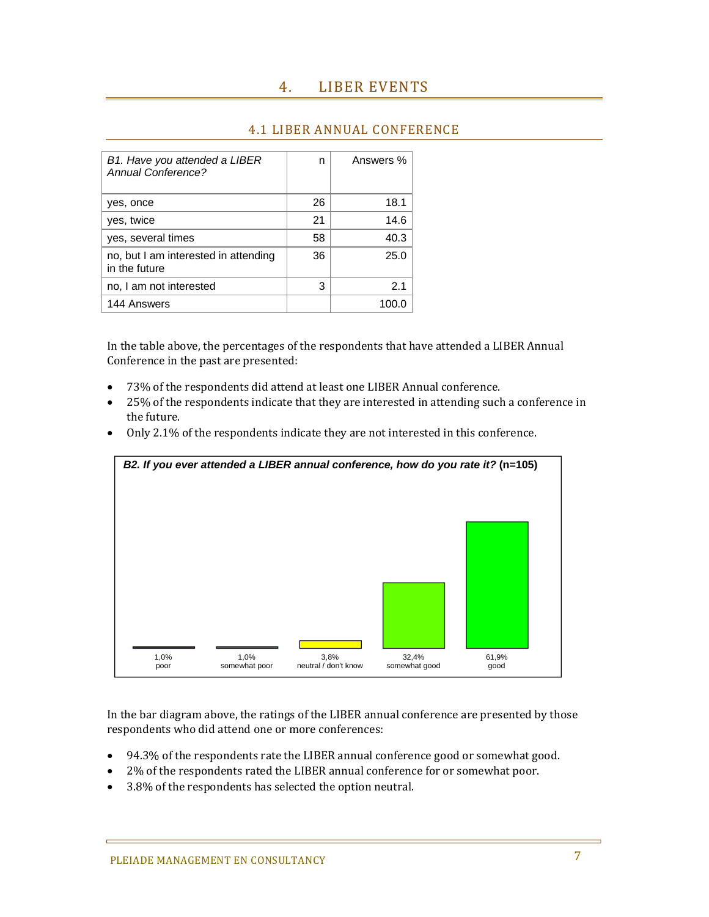| B1. Have you attended a LIBER<br>Annual Conference?   | n  | Answers % |
|-------------------------------------------------------|----|-----------|
| yes, once                                             | 26 | 18.1      |
| yes, twice                                            | 21 | 14.6      |
| yes, several times                                    | 58 | 40.3      |
| no, but I am interested in attending<br>in the future | 36 | 25.0      |
| no, I am not interested                               | 3  | 2.1       |
| 144 Answers                                           |    |           |

#### **4.1 LIBER ANNUAL CONFERENCE**

In the table above, the percentages of the respondents that have attended a LIBER Annual Conference in the past are presented:

- 73% of the respondents did attend at least one LIBER Annual conference.
- 25% of the respondents indicate that they are interested in attending such a conference in the future.
- Only 2.1% of the respondents indicate they are not interested in this conference.



In the bar diagram above, the ratings of the LIBER annual conference are presented by those respondents who did attend one or more conferences:

- 94.3% of the respondents rate the LIBER annual conference good or somewhat good.
- 2% of the respondents rated the LIBER annual conference for or somewhat poor.
- 3.8% of the respondents has selected the option neutral.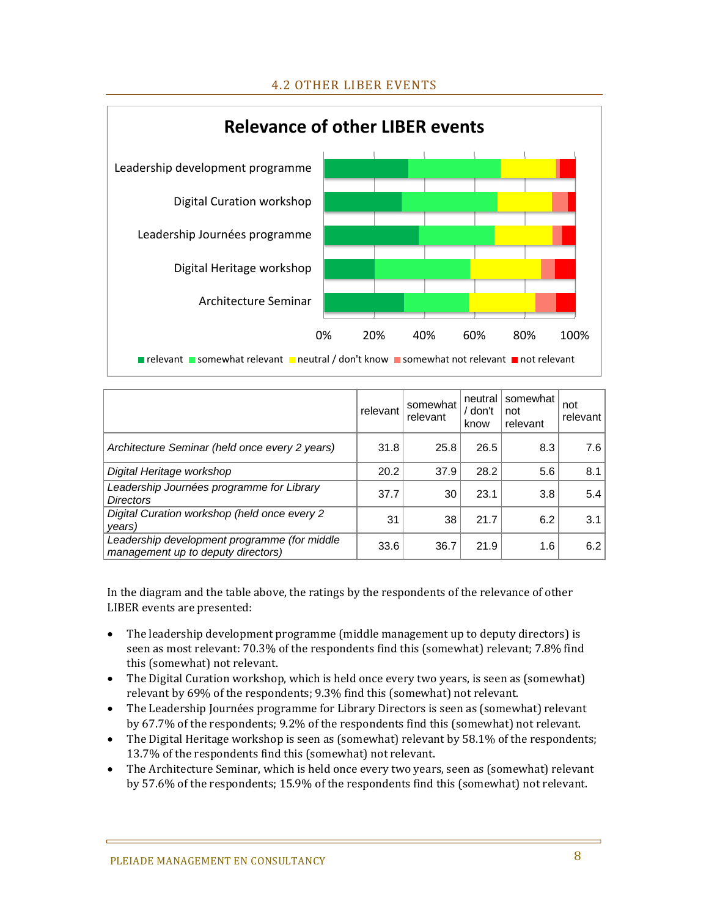

|                                                                                    | relevant | somewhat<br>relevant | neutral<br>/ don't<br>know | somewhat<br>not<br>relevant | not<br>relevant |
|------------------------------------------------------------------------------------|----------|----------------------|----------------------------|-----------------------------|-----------------|
| Architecture Seminar (held once every 2 years)                                     | 31.8     | 25.8                 | 26.5                       | 8.3                         | 7.6             |
| Digital Heritage workshop                                                          | 20.2     | 37.9                 | 28.2                       | 5.6                         | 8.1             |
| Leadership Journées programme for Library<br><b>Directors</b>                      | 37.7     | 30                   | 23.1                       | 3.8                         | 5.4             |
| Digital Curation workshop (held once every 2<br>years)                             | 31       | 38                   | 21.7                       | 6.2                         | 3.1             |
| Leadership development programme (for middle<br>management up to deputy directors) | 33.6     | 36.7                 | 21.9                       | 1.6                         | 6.2             |

In the diagram and the table above, the ratings by the respondents of the relevance of other LIBER events are presented:

- The leadership development programme (middle management up to deputy directors) is seen as most relevant: 70.3% of the respondents find this (somewhat) relevant; 7.8% find this (somewhat) not relevant.
- The Digital Curation workshop, which is held once every two years, is seen as (somewhat) relevant by 69% of the respondents; 9.3% find this (somewhat) not relevant.
- The Leadership Journées programme for Library Directors is seen as (somewhat) relevant by 67.7% of the respondents; 9.2% of the respondents find this (somewhat) not relevant.
- The Digital Heritage workshop is seen as (somewhat) relevant by 58.1% of the respondents; 13.7% of the respondents find this (somewhat) not relevant.
- The Architecture Seminar, which is held once every two years, seen as (somewhat) relevant by 57.6% of the respondents; 15.9% of the respondents find this (somewhat) not relevant.

### 4.2 OTHER LIBER EVENTS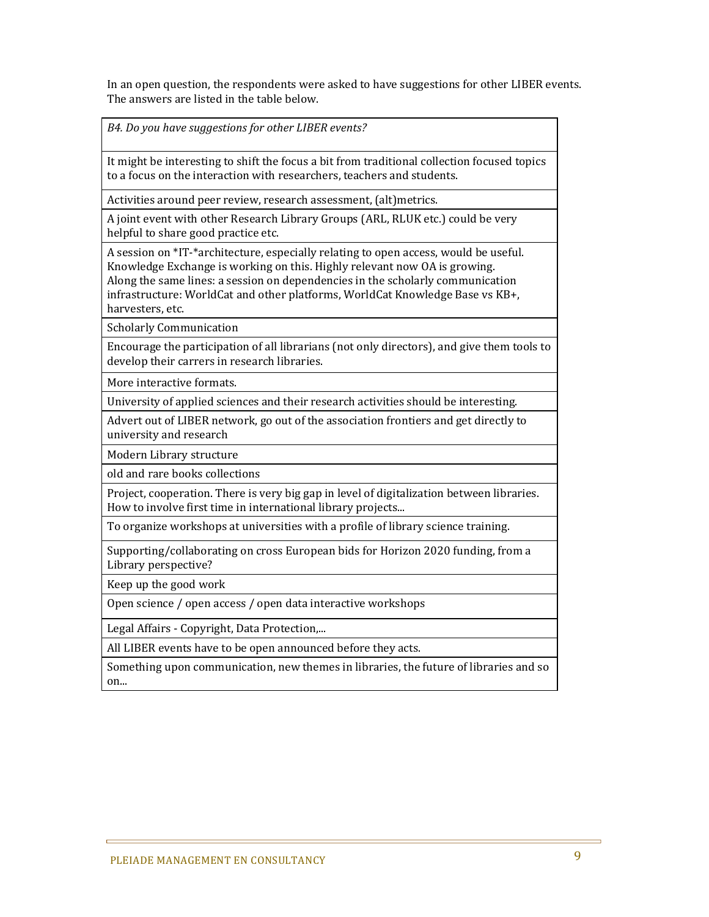In an open question, the respondents were asked to have suggestions for other LIBER events. The answers are listed in the table below.

*B4. Do you have suggestions for other LIBER events?*

It might be interesting to shift the focus a bit from traditional collection focused topics to a focus on the interaction with researchers, teachers and students.

Activities around peer review, research assessment, (alt)metrics.

A joint event with other Research Library Groups (ARL, RLUK etc.) could be very helpful to share good practice etc.

A session on \*IT-\*architecture, especially relating to open access, would be useful. Knowledge Exchange is working on this. Highly relevant now OA is growing. Along the same lines: a session on dependencies in the scholarly communication infrastructure: WorldCat and other platforms, WorldCat Knowledge Base vs KB+, harvesters, etc.

Scholarly Communication 

Encourage the participation of all librarians (not only directors), and give them tools to develop their carrers in research libraries.

More interactive formats.

University of applied sciences and their research activities should be interesting.

Advert out of LIBER network, go out of the association frontiers and get directly to university and research

Modern Library structure

old and rare books collections 

Project, cooperation. There is very big gap in level of digitalization between libraries. How to involve first time in international library projects...

To organize workshops at universities with a profile of library science training.

Supporting/collaborating on cross European bids for Horizon 2020 funding, from a Library perspective?

Keep up the good work

Open science / open access / open data interactive workshops

Legal Affairs - Copyright, Data Protection,...

All LIBER events have to be open announced before they acts.

Something upon communication, new themes in libraries, the future of libraries and so on...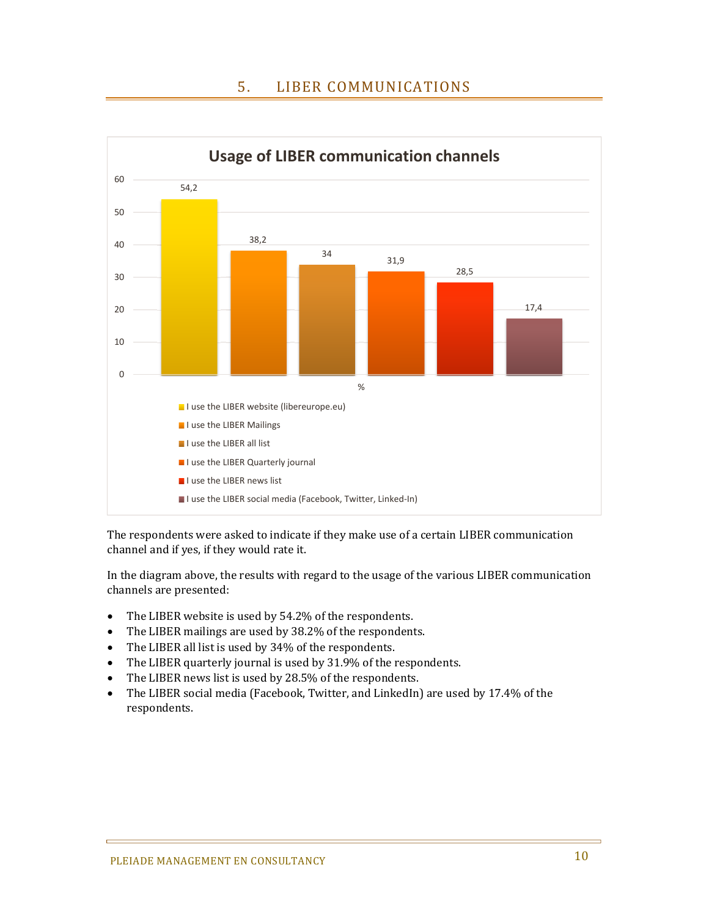### 5. LIBER COMMUNICATIONS



The respondents were asked to indicate if they make use of a certain LIBER communication channel and if yes, if they would rate it.

In the diagram above, the results with regard to the usage of the various LIBER communication channels are presented:

- The LIBER website is used by 54.2% of the respondents.
- The LIBER mailings are used by 38.2% of the respondents.
- The LIBER all list is used by 34% of the respondents.
- The LIBER quarterly journal is used by 31.9% of the respondents.
- The LIBER news list is used by 28.5% of the respondents.
- The LIBER social media (Facebook, Twitter, and LinkedIn) are used by 17.4% of the respondents.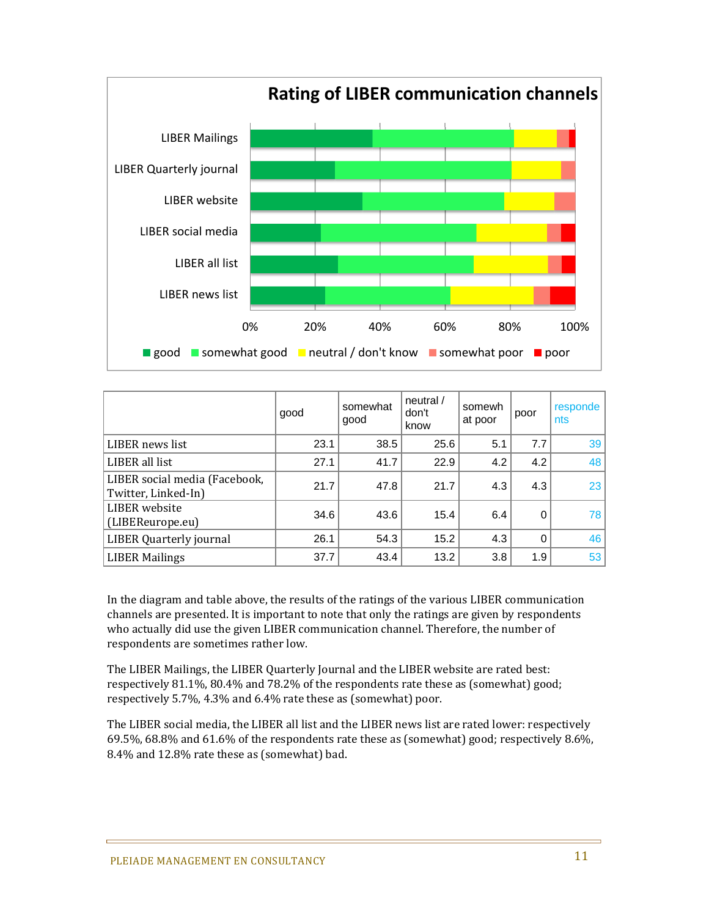

#### good somewhat good neutral / don't know somewh<br>at poor poor responde nts LIBER news list  $\begin{array}{ccc} \vert & 23.1 \vert & 38.5 \vert & 25.6 \vert & 5.1 \vert & 7.7 \vert & 39 \end{array}$ LIBER all list  $\begin{array}{|c|c|c|c|c|c|c|c|c|} \hline \end{array}$  27.1  $\begin{array}{|c|c|c|c|c|c|c|c|} \hline \end{array}$  4.2  $\begin{array}{|c|c|c|c|c|} \hline \end{array}$  4.2  $\begin{array}{|c|c|c|c|c|c|} \hline \end{array}$  48 LIBER social media (Facebook,  $\begin{array}{c|c|c|c|c|c|c} \text{LIDER SOLd1 IileU1} & \text{LIDER SOLd1 IileU1} & \text{LIDER SOLd1 IileU1} & \text{LIDER SOLd1 IileU1} & \text{LIDER SOLd1 IileU1} & \text{LIDER SOLd1 IileU1} & \text{LIDER SOLd1 IileU1} & \text{LIDER SOLd1 IileU1} & \text{LIDER SOLd1 IileU1} & \text{LIDER SOLd1 IileU1} & \text{LIDER SOLd1 IileU1} & \text{LIDER SOLd1 IileU1} & \text{LIDER SOLd$ LIBER website  $(LIBER\, \text{weissite})$  34.6 43.6 15.4 6.4 0 78 LIBER Quarterly journal  $\begin{vmatrix} 26.1 & 54.3 & 15.2 & 4.3 & 0 \end{vmatrix}$  46 LIBER Mailings 37.7 43.4 13.2 3.8 1.9 53

In the diagram and table above, the results of the ratings of the various LIBER communication channels are presented. It is important to note that only the ratings are given by respondents who actually did use the given LIBER communication channel. Therefore, the number of respondents are sometimes rather low.

The LIBER Mailings, the LIBER Quarterly Journal and the LIBER website are rated best: respectively 81.1%, 80.4% and 78.2% of the respondents rate these as (somewhat) good; respectively 5.7%, 4.3% and 6.4% rate these as (somewhat) poor.

The LIBER social media, the LIBER all list and the LIBER news list are rated lower: respectively 69.5%, 68.8% and 61.6% of the respondents rate these as (somewhat) good; respectively 8.6%, 8.4% and 12.8% rate these as (somewhat) bad.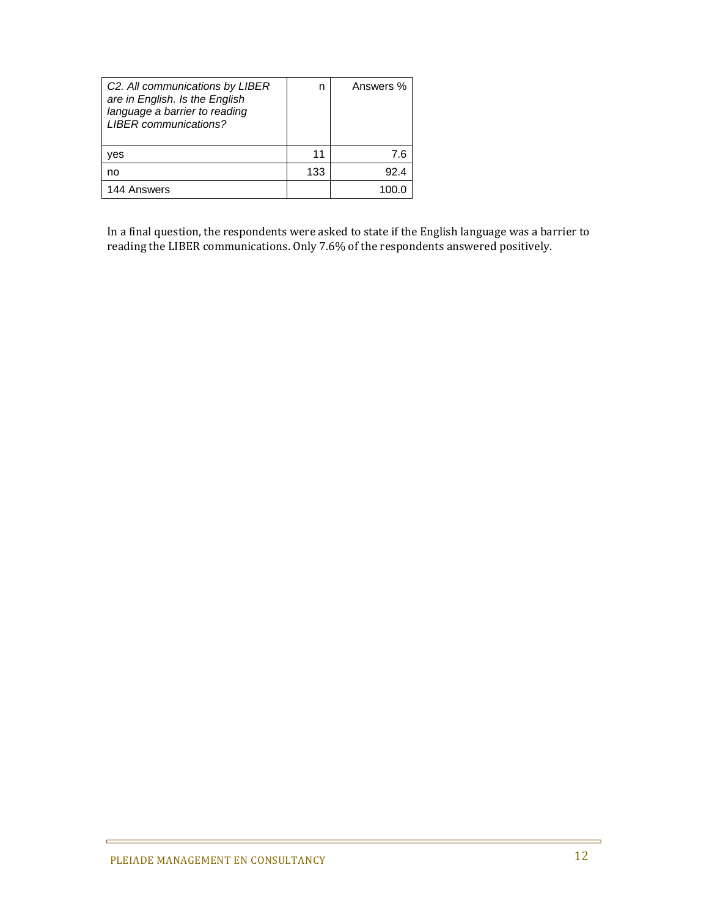| C2. All communications by LIBER<br>are in English. Is the English<br>language a barrier to reading<br><b>LIBER</b> communications? |     | Answers % |
|------------------------------------------------------------------------------------------------------------------------------------|-----|-----------|
| ves                                                                                                                                | 11  | 7.6       |
| no                                                                                                                                 | 133 | 92.4      |
| 144 Answers                                                                                                                        |     |           |

In a final question, the respondents were asked to state if the English language was a barrier to reading the LIBER communications. Only 7.6% of the respondents answered positively.

ċ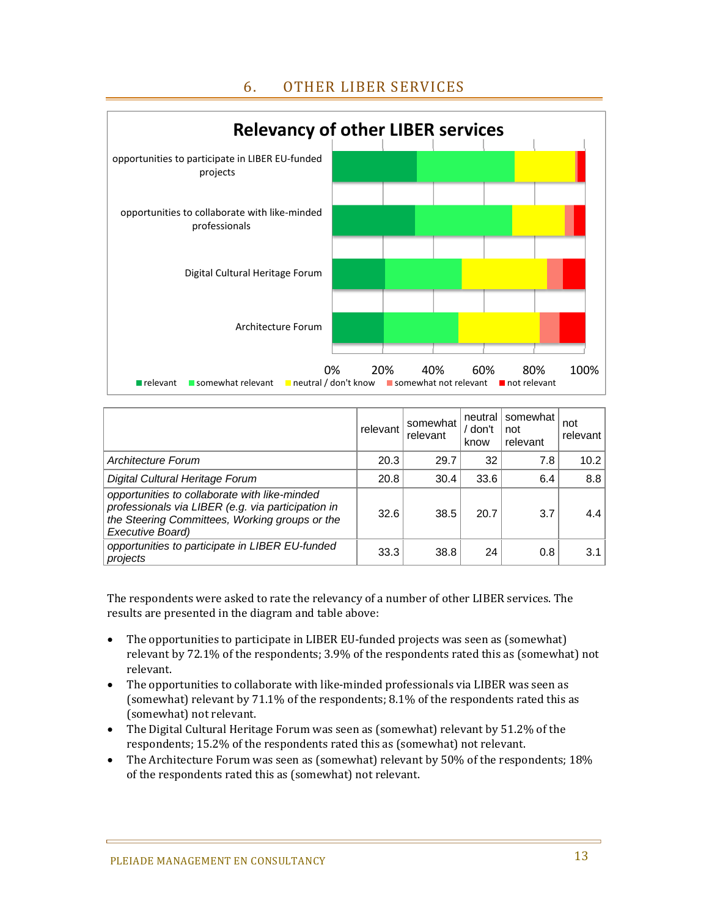### 6. OTHER LIBER SERVICES



|                                                                                                                                                                           | relevant | somewhat<br>relevant | neutral<br>/ don't<br>know | somewhat<br>not<br>relevant | not<br>relevant |
|---------------------------------------------------------------------------------------------------------------------------------------------------------------------------|----------|----------------------|----------------------------|-----------------------------|-----------------|
| Architecture Forum                                                                                                                                                        | 20.3     | 29.7                 | 32                         | 7.8                         | 10.2            |
| Digital Cultural Heritage Forum                                                                                                                                           | 20.8     | 30.4                 | 33.6                       | 6.4                         | 8.8             |
| opportunities to collaborate with like-minded<br>professionals via LIBER (e.g. via participation in<br>the Steering Committees, Working groups or the<br>Executive Board) | 32.6     | 38.5                 | 20.7                       | 3.7                         | 4.4             |
| opportunities to participate in LIBER EU-funded<br>projects                                                                                                               | 33.3     | 38.8                 | 24                         | 0.8                         | 3.1             |

The respondents were asked to rate the relevancy of a number of other LIBER services. The results are presented in the diagram and table above:

- The opportunities to participate in LIBER EU-funded projects was seen as (somewhat) relevant by 72.1% of the respondents; 3.9% of the respondents rated this as (somewhat) not relevant.
- The opportunities to collaborate with like-minded professionals via LIBER was seen as (somewhat) relevant by  $71.1\%$  of the respondents;  $8.1\%$  of the respondents rated this as (somewhat) not relevant.
- The Digital Cultural Heritage Forum was seen as (somewhat) relevant by 51.2% of the respondents; 15.2% of the respondents rated this as (somewhat) not relevant.
- The Architecture Forum was seen as (somewhat) relevant by  $50\%$  of the respondents;  $18\%$ of the respondents rated this as (somewhat) not relevant.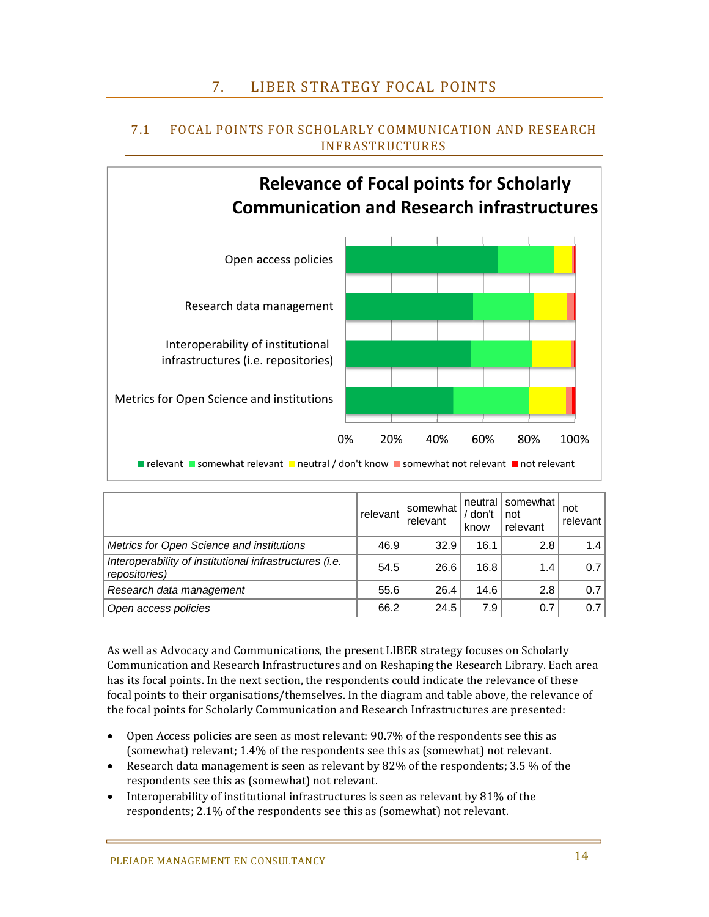## 7. LIBER STRATEGY FOCAL POINTS



### 7.1 FOCAL POINTS FOR SCHOLARLY COMMUNICATION AND RESEARCH INFRASTRUCTURES

|                                                                          | relevant | somewhat<br>relevant | neutral l<br>/ don't<br>know | somewhat<br>not<br>relevant | not<br>relevant  |
|--------------------------------------------------------------------------|----------|----------------------|------------------------------|-----------------------------|------------------|
| Metrics for Open Science and institutions                                | 46.9     | 32.9                 | 16.1                         | 2.8                         | 1.4              |
| Interoperability of institutional infrastructures (i.e.<br>repositories) | 54.5     | 26.6                 | 16.8                         | 1.4                         | 0.7              |
| Research data management                                                 | 55.6     | 26.4                 | 14.6                         | 2.8                         | 0.7              |
| Open access policies                                                     | 66.2     | 24.5                 | 7.9                          | 0.7                         | 0.7 <sub>1</sub> |

As well as Advocacy and Communications, the present LIBER strategy focuses on Scholarly Communication and Research Infrastructures and on Reshaping the Research Library. Each area has its focal points. In the next section, the respondents could indicate the relevance of these focal points to their organisations/themselves. In the diagram and table above, the relevance of the focal points for Scholarly Communication and Research Infrastructures are presented:

- Open Access policies are seen as most relevant: 90.7% of the respondents see this as (somewhat) relevant; 1.4% of the respondents see this as (somewhat) not relevant.
- Research data management is seen as relevant by  $82\%$  of the respondents;  $3.5\%$  of the respondents see this as (somewhat) not relevant.
- Interoperability of institutional infrastructures is seen as relevant by  $81\%$  of the respondents; 2.1% of the respondents see this as (somewhat) not relevant.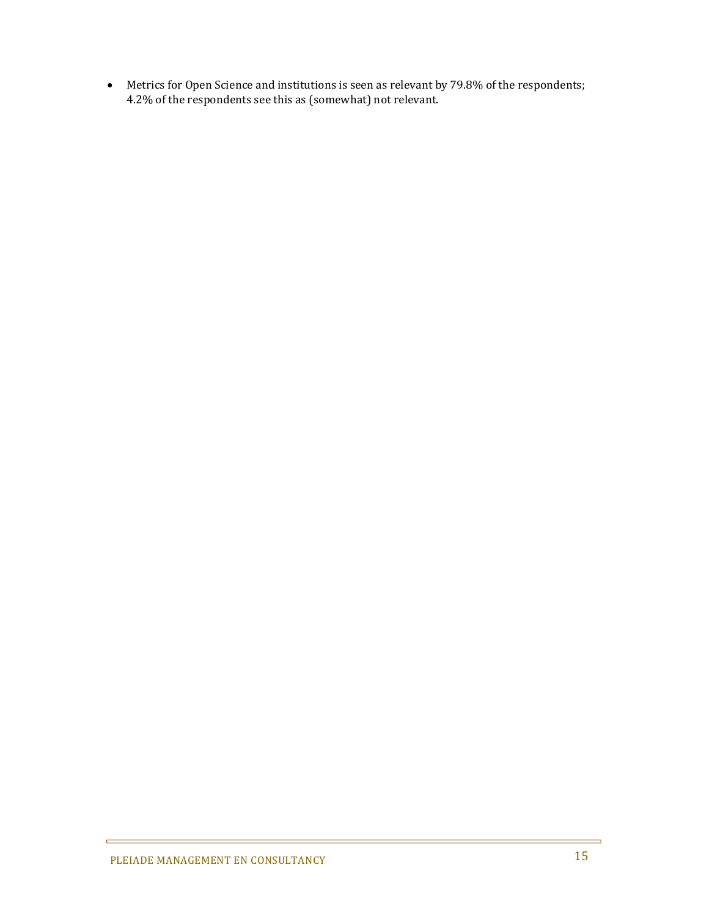• Metrics for Open Science and institutions is seen as relevant by 79.8% of the respondents; 4.2% of the respondents see this as (somewhat) not relevant.

 $\blacksquare$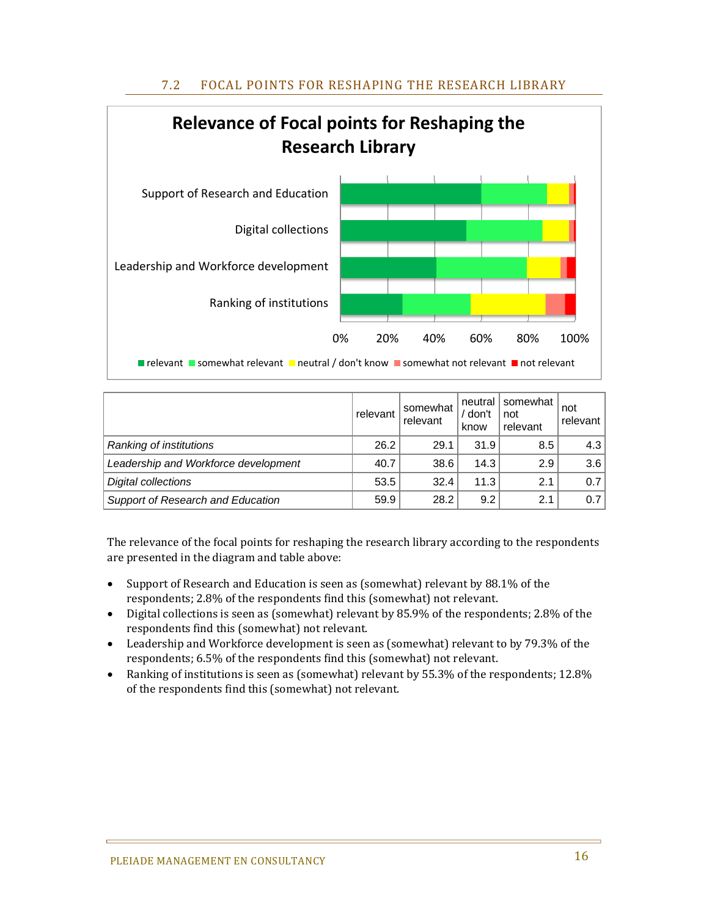### 7.2 FOCAL POINTS FOR RESHAPING THE RESEARCH LIBRARY



|                                      | relevant | somewhat<br>relevant | neutral l<br>don't<br>know | somewhat<br>not<br>relevant | not<br>relevant I |
|--------------------------------------|----------|----------------------|----------------------------|-----------------------------|-------------------|
| Ranking of institutions              | 26.2     | 29.1                 | 31.9                       | 8.5                         | $4.3\vert$        |
| Leadership and Workforce development | 40.7     | 38.6                 | 14.3                       | 2.9                         | 3.6               |
| <b>Digital collections</b>           | 53.5     | 32.4                 | 11.3                       | 2.1                         | 0.7 <sub>1</sub>  |
| Support of Research and Education    | 59.9     | 28.2                 | 9.2                        | 2.1                         | 0.71              |

The relevance of the focal points for reshaping the research library according to the respondents are presented in the diagram and table above:

- Support of Research and Education is seen as (somewhat) relevant by 88.1% of the respondents; 2.8% of the respondents find this (somewhat) not relevant.
- Digital collections is seen as (somewhat) relevant by 85.9% of the respondents; 2.8% of the respondents find this (somewhat) not relevant.
- Leadership and Workforce development is seen as (somewhat) relevant to by 79.3% of the respondents; 6.5% of the respondents find this (somewhat) not relevant.
- Ranking of institutions is seen as (somewhat) relevant by 55.3% of the respondents; 12.8% of the respondents find this (somewhat) not relevant.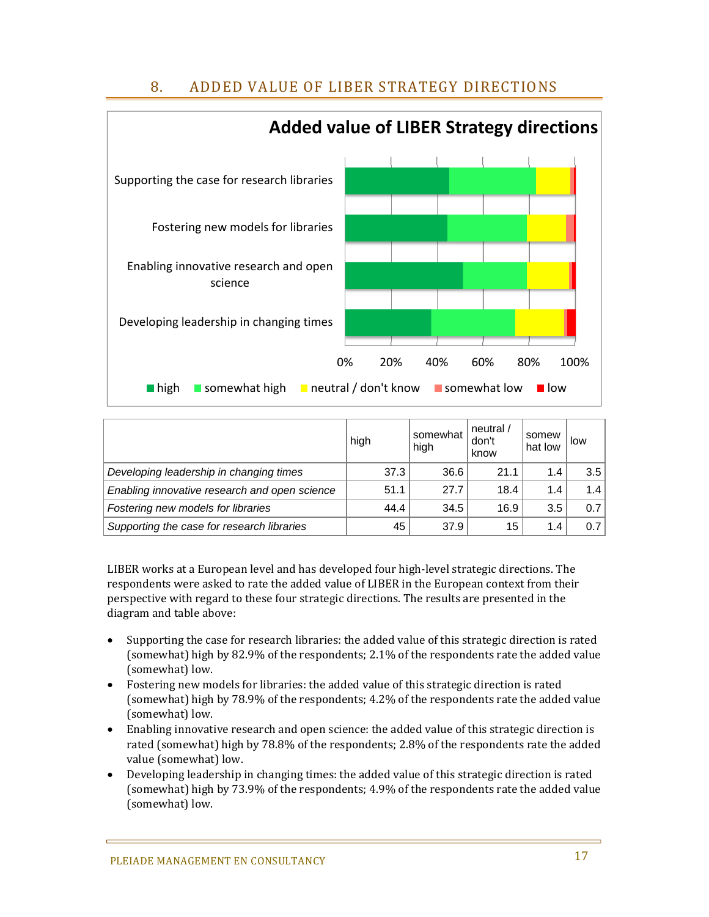## 8. ADDED VALUE OF LIBER STRATEGY DIRECTIONS



|                                               | high | somewhat<br>high | neutral $/$<br>don't<br>know | somew<br>hat low | low |
|-----------------------------------------------|------|------------------|------------------------------|------------------|-----|
| Developing leadership in changing times       | 37.3 | 36.6             | 21.1                         | 1.4              | 3.5 |
| Enabling innovative research and open science | 51.1 | 27.7             | 18.4                         | 1.4              | 1.4 |
| Fostering new models for libraries            | 44.4 | 34.5             | 16.9                         | 3.5              | 0.7 |
| Supporting the case for research libraries    | 45   | 37.9             | 15                           | 1.4              | 0.7 |

LIBER works at a European level and has developed four high-level strategic directions. The respondents were asked to rate the added value of LIBER in the European context from their perspective with regard to these four strategic directions. The results are presented in the diagram and table above:

- Supporting the case for research libraries: the added value of this strategic direction is rated (somewhat) high by 82.9% of the respondents; 2.1% of the respondents rate the added value (somewhat) low.
- Fostering new models for libraries: the added value of this strategic direction is rated (somewhat) high by 78.9% of the respondents; 4.2% of the respondents rate the added value (somewhat) low.
- Enabling innovative research and open science: the added value of this strategic direction is rated (somewhat) high by 78.8% of the respondents; 2.8% of the respondents rate the added value (somewhat) low.
- Developing leadership in changing times: the added value of this strategic direction is rated (somewhat) high by 73.9% of the respondents; 4.9% of the respondents rate the added value (somewhat) low.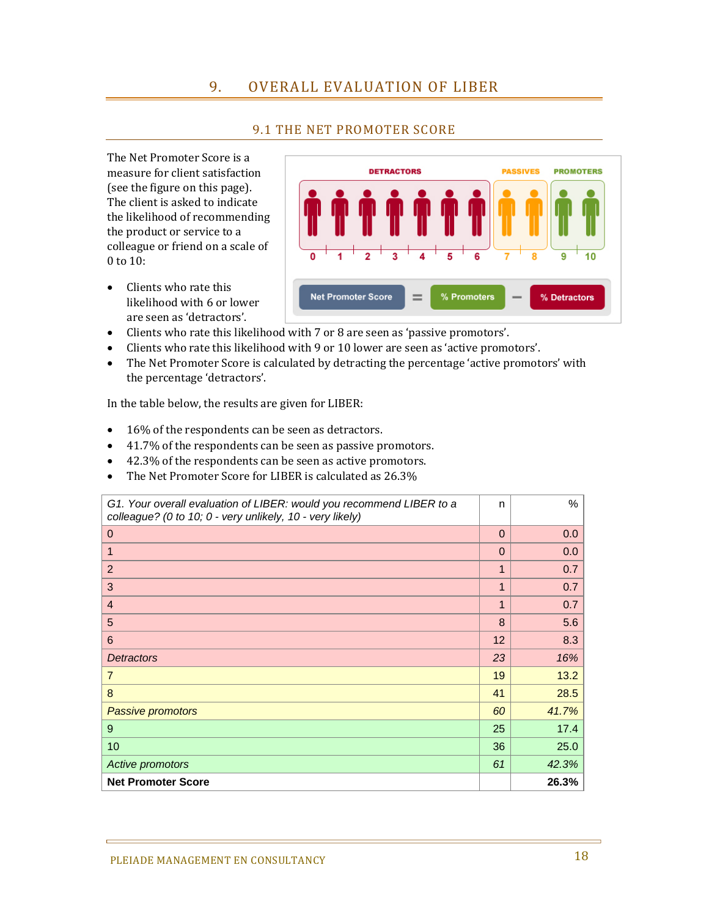### 9. OVERALL EVALUATION OF LIBER

#### 9.1 THE NET PROMOTER SCORE

The Net Promoter Score is a measure for client satisfaction (see the figure on this page). The client is asked to indicate the likelihood of recommending the product or service to a colleague or friend on a scale of 0 to 10:

 $\bullet$  Clients who rate this likelihood with 6 or lower are seen as 'detractors'.



- Clients who rate this likelihood with 7 or 8 are seen as 'passive promotors'.
- Clients who rate this likelihood with 9 or 10 lower are seen as 'active promotors'.
- The Net Promoter Score is calculated by detracting the percentage 'active promotors' with the percentage 'detractors'.

In the table below, the results are given for LIBER:

- $\bullet$  16% of the respondents can be seen as detractors.
- 41.7% of the respondents can be seen as passive promotors.
- 42.3% of the respondents can be seen as active promotors.
- The Net Promoter Score for LIBER is calculated as 26.3%

| G1. Your overall evaluation of LIBER: would you recommend LIBER to a<br>colleague? (0 to 10; 0 - very unlikely, 10 - very likely) | n           | $\%$  |
|-----------------------------------------------------------------------------------------------------------------------------------|-------------|-------|
| $\mathbf{0}$                                                                                                                      | $\Omega$    | 0.0   |
| 1                                                                                                                                 | $\Omega$    | 0.0   |
| $\overline{2}$                                                                                                                    | $\mathbf 1$ | 0.7   |
| 3                                                                                                                                 | 1           | 0.7   |
| $\overline{4}$                                                                                                                    | 1           | 0.7   |
| 5                                                                                                                                 | 8           | 5.6   |
| 6                                                                                                                                 | 12          | 8.3   |
| <b>Detractors</b>                                                                                                                 | 23          | 16%   |
| $\overline{7}$                                                                                                                    | 19          | 13.2  |
| 8                                                                                                                                 | 41          | 28.5  |
| Passive promotors                                                                                                                 | 60          | 41.7% |
| 9                                                                                                                                 | 25          | 17.4  |
| 10                                                                                                                                | 36          | 25.0  |
| Active promotors                                                                                                                  | 61          | 42.3% |
| <b>Net Promoter Score</b>                                                                                                         |             | 26.3% |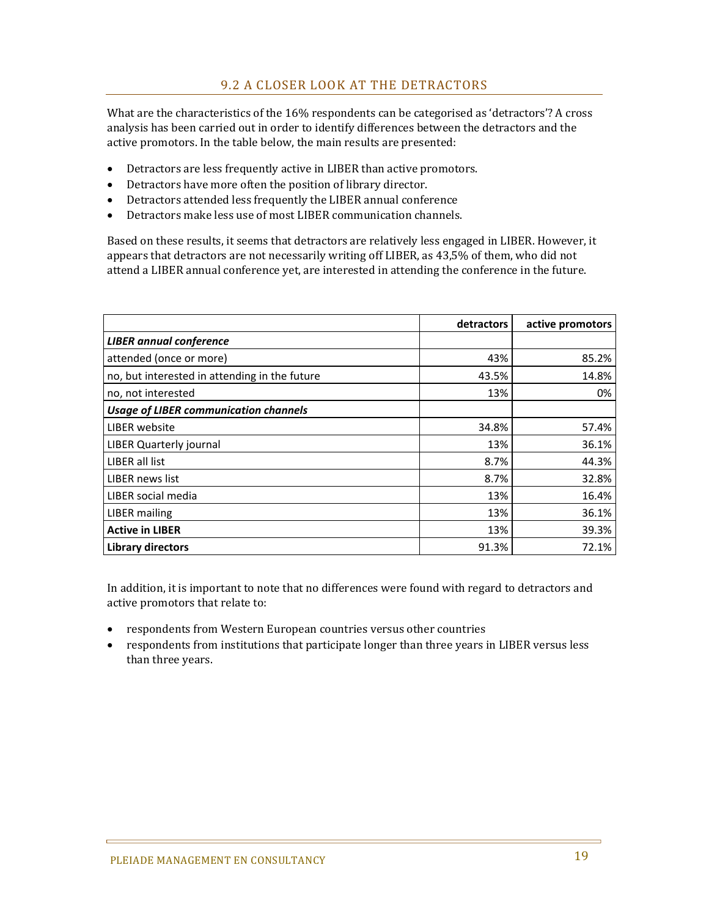What are the characteristics of the  $16\%$  respondents can be categorised as 'detractors'? A cross analysis has been carried out in order to identify differences between the detractors and the active promotors. In the table below, the main results are presented:

- Detractors are less frequently active in LIBER than active promotors.
- Detractors have more often the position of library director.
- Detractors attended less frequently the LIBER annual conference
- $\bullet$  Detractors make less use of most LIBER communication channels.

Based on these results, it seems that detractors are relatively less engaged in LIBER. However, it appears that detractors are not necessarily writing off LIBER, as 43,5% of them, who did not attend a LIBER annual conference yet, are interested in attending the conference in the future.

|                                               | detractors | active promotors |
|-----------------------------------------------|------------|------------------|
| <b>LIBER</b> annual conference                |            |                  |
| attended (once or more)                       | 43%        | 85.2%            |
| no, but interested in attending in the future | 43.5%      | 14.8%            |
| no, not interested                            | 13%        | 0%               |
| <b>Usage of LIBER communication channels</b>  |            |                  |
| LIBER website                                 | 34.8%      | 57.4%            |
| LIBER Quarterly journal                       | 13%        | 36.1%            |
| LIBER all list                                | 8.7%       | 44.3%            |
| LIBER news list                               | 8.7%       | 32.8%            |
| LIBER social media                            | 13%        | 16.4%            |
| LIBER mailing                                 | 13%        | 36.1%            |
| <b>Active in LIBER</b>                        | 13%        | 39.3%            |
| <b>Library directors</b>                      | 91.3%      | 72.1%            |

In addition, it is important to note that no differences were found with regard to detractors and active promotors that relate to:

- respondents from Western European countries versus other countries
- respondents from institutions that participate longer than three years in LIBER versus less than three years.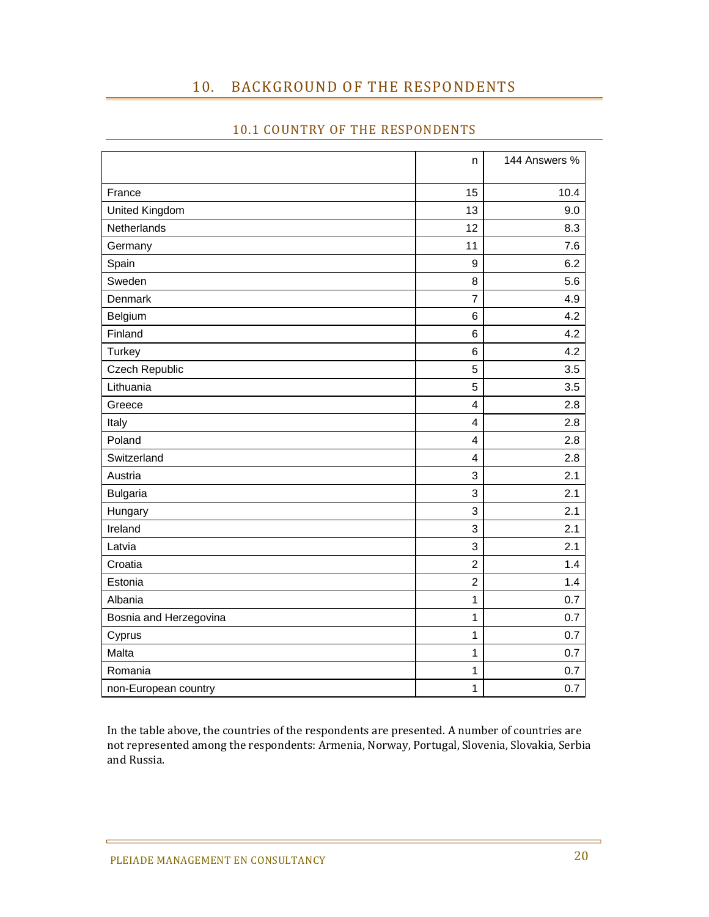### 10. BACKGROUND OF THE RESPONDENTS

|  | <b>10.1 COUNTRY OF THE RESPONDENTS</b> |
|--|----------------------------------------|

|                        | n                       | 144 Answers % |
|------------------------|-------------------------|---------------|
| France                 | 15                      | 10.4          |
| United Kingdom         | 13                      | 9.0           |
| Netherlands            | 12                      | 8.3           |
| Germany                | 11                      | 7.6           |
| Spain                  | 9                       | 6.2           |
| Sweden                 | 8                       | 5.6           |
| Denmark                | $\overline{7}$          | 4.9           |
| Belgium                | $6\phantom{1}6$         | 4.2           |
| Finland                | $6\phantom{1}6$         | 4.2           |
| <b>Turkey</b>          | $6\phantom{1}6$         | 4.2           |
| Czech Republic         | 5                       | 3.5           |
| Lithuania              | 5                       | 3.5           |
| Greece                 | $\overline{\mathbf{4}}$ | 2.8           |
| Italy                  | $\overline{\mathbf{4}}$ | 2.8           |
| Poland                 | $\overline{4}$          | 2.8           |
| Switzerland            | $\overline{4}$          | 2.8           |
| Austria                | 3                       | 2.1           |
| <b>Bulgaria</b>        | 3                       | 2.1           |
| Hungary                | 3                       | 2.1           |
| Ireland                | 3                       | 2.1           |
| Latvia                 | 3                       | 2.1           |
| Croatia                | $\overline{2}$          | 1.4           |
| Estonia                | $\overline{c}$          | 1.4           |
| Albania                | 1                       | 0.7           |
| Bosnia and Herzegovina | $\mathbf 1$             | 0.7           |
| Cyprus                 | $\mathbf{1}$            | 0.7           |
| Malta                  | $\mathbf 1$             | 0.7           |
| Romania                | 1                       | 0.7           |
| non-European country   | $\mathbf 1$             | 0.7           |

In the table above, the countries of the respondents are presented. A number of countries are not represented among the respondents: Armenia, Norway, Portugal, Slovenia, Slovakia, Serbia and Russia.

É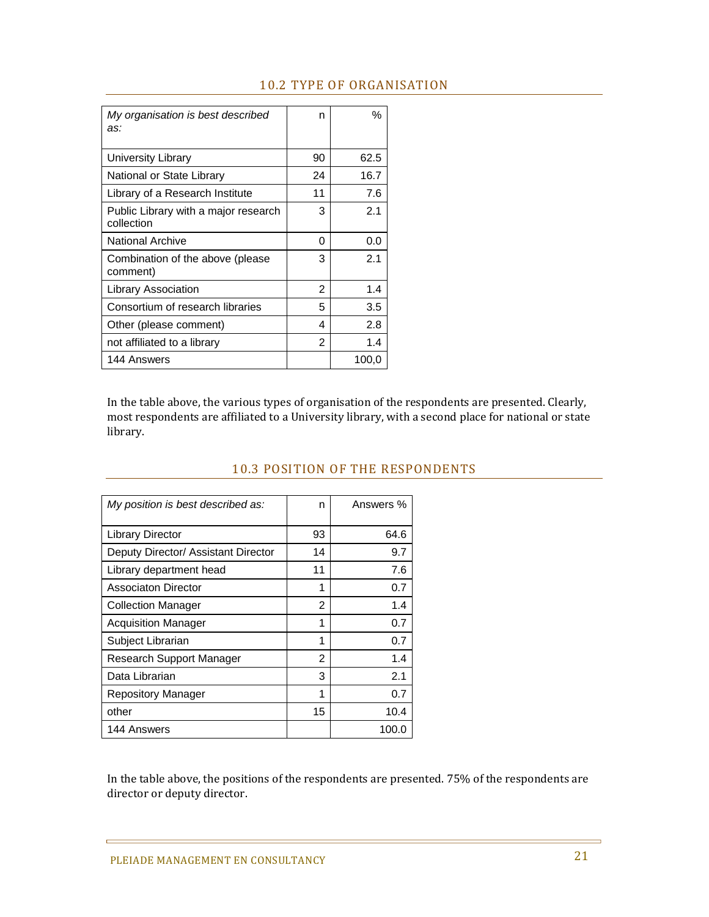| My organisation is best described<br>as:           | n  | %     |
|----------------------------------------------------|----|-------|
| University Library                                 | 90 | 62.5  |
| National or State Library                          | 24 | 16.7  |
| Library of a Research Institute                    | 11 | 7.6   |
| Public Library with a major research<br>collection | 3  | 2.1   |
| <b>National Archive</b>                            | 0  | 0.0   |
| Combination of the above (please<br>comment)       | 3  | 2.1   |
| Library Association                                | 2  | 1.4   |
| Consortium of research libraries                   | 5  | 3.5   |
| Other (please comment)                             | 4  | 2.8   |
| not affiliated to a library                        | 2  | 1.4   |
| 144 Answers                                        |    | 100,0 |

### 10.2 TYPE OF ORGANISATION

In the table above, the various types of organisation of the respondents are presented. Clearly, most respondents are affiliated to a University library, with a second place for national or state library. 

| My position is best described as:   | n  | Answers % |
|-------------------------------------|----|-----------|
| <b>Library Director</b>             | 93 | 64.6      |
| Deputy Director/ Assistant Director | 14 | 9.7       |
| Library department head             | 11 | 7.6       |
| Associaton Director                 | 1  | 0.7       |
| <b>Collection Manager</b>           | 2  | 1.4       |
| <b>Acquisition Manager</b>          | 1  | 0.7       |
| Subject Librarian                   | 1  | 0.7       |
| Research Support Manager            | 2  | 1.4       |
| Data Librarian                      | 3  | 2.1       |
| Repository Manager                  | 1  | 0.7       |
| other                               | 15 | 10.4      |
| 144 Answers                         |    | 100.0     |

### 10.3 POSITION OF THE RESPONDENTS

In the table above, the positions of the respondents are presented. 75% of the respondents are director or deputy director.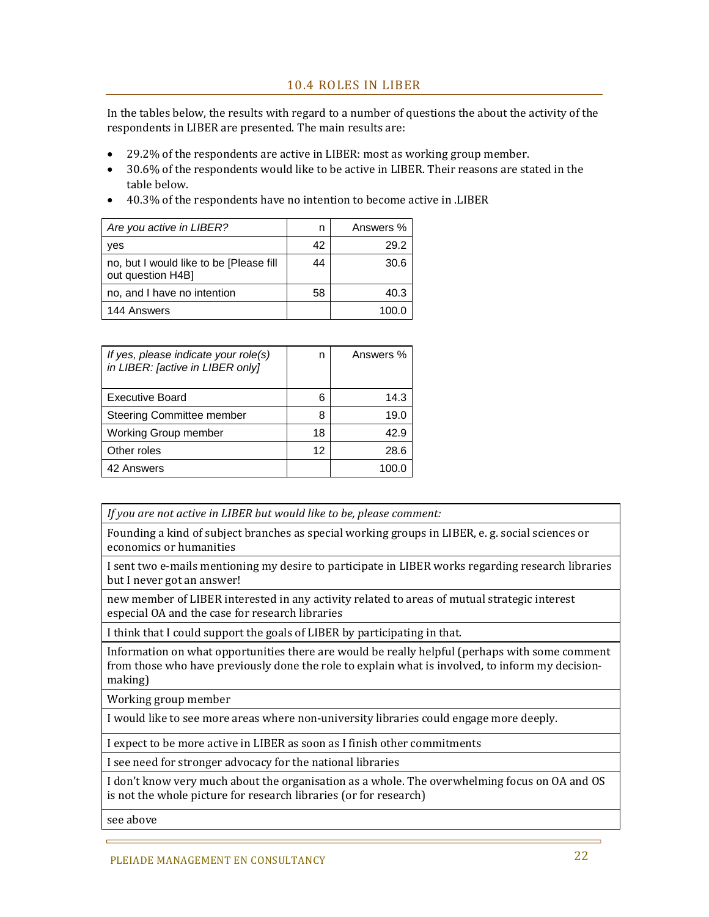#### 10.4 ROLES IN LIBER

In the tables below, the results with regard to a number of questions the about the activity of the respondents in LIBER are presented. The main results are:

- 29.2% of the respondents are active in LIBER: most as working group member.
- 30.6% of the respondents would like to be active in LIBER. Their reasons are stated in the table below.
- 40.3% of the respondents have no intention to become active in .LIBER

| Are you active in LIBER?                                     |    | Answers % |
|--------------------------------------------------------------|----|-----------|
| yes                                                          | 42 | 29.2      |
| no, but I would like to be [Please fill<br>out question H4B] | 44 | 30.6      |
| no, and I have no intention                                  | 58 | 40.3      |
| 144 Answers                                                  |    | 100 O     |

| If yes, please indicate your role(s)<br>in LIBER: [active in LIBER only] | n  | Answers % |
|--------------------------------------------------------------------------|----|-----------|
| <b>Executive Board</b>                                                   | հ  | 14.3      |
| <b>Steering Committee member</b>                                         | 8  | 19.0      |
| <b>Working Group member</b>                                              | 18 | 42.9      |
| Other roles                                                              | 12 | 28.6      |
| 42 Answers                                                               |    |           |

*If you are not active in LIBER but would like to be, please comment:*

Founding a kind of subject branches as special working groups in LIBER, e. g. social sciences or economics or humanities

I sent two e-mails mentioning my desire to participate in LIBER works regarding research libraries but I never got an answer!

new member of LIBER interested in any activity related to areas of mutual strategic interest especial OA and the case for research libraries

I think that I could support the goals of LIBER by participating in that.

Information on what opportunities there are would be really helpful (perhaps with some comment from those who have previously done the role to explain what is involved, to inform my decisionmaking) 

Working group member

I would like to see more areas where non-university libraries could engage more deeply.

I expect to be more active in LIBER as soon as I finish other commitments

I see need for stronger advocacy for the national libraries

I don't know very much about the organisation as a whole. The overwhelming focus on OA and OS is not the whole picture for research libraries (or for research)

see above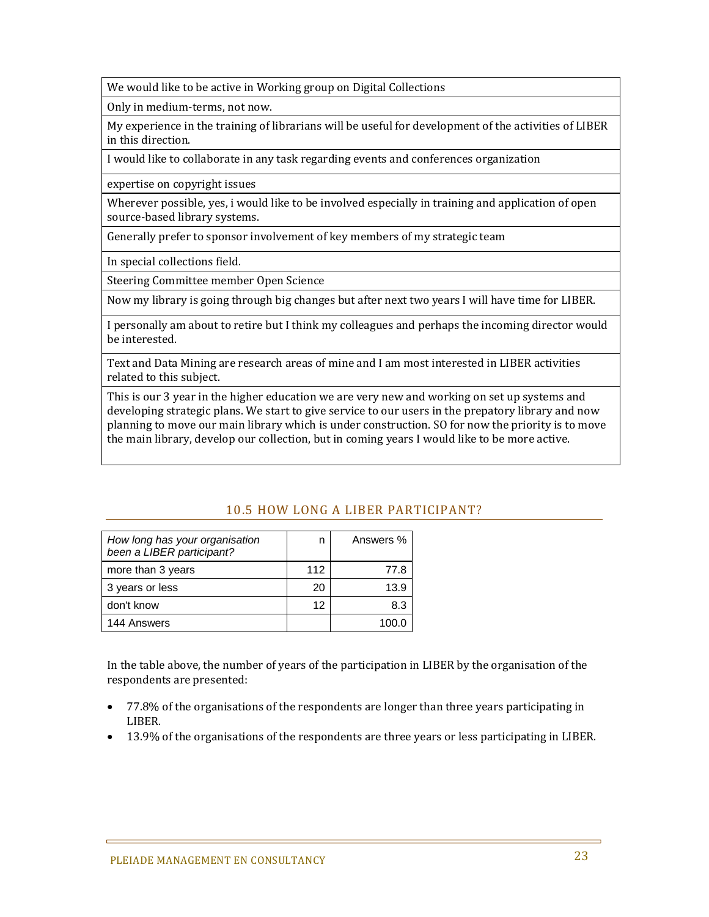We would like to be active in Working group on Digital Collections

Only in medium-terms, not now.

My experience in the training of librarians will be useful for development of the activities of LIBER in this direction.

I would like to collaborate in any task regarding events and conferences organization

expertise on copyright issues

Wherever possible, yes, i would like to be involved especially in training and application of open source-based library systems.

Generally prefer to sponsor involvement of key members of my strategic team

In special collections field.

Steering Committee member Open Science

Now my library is going through big changes but after next two years I will have time for LIBER.

I personally am about to retire but I think my colleagues and perhaps the incoming director would be interested.

Text and Data Mining are research areas of mine and I am most interested in LIBER activities related to this subject.

This is our 3 year in the higher education we are very new and working on set up systems and developing strategic plans. We start to give service to our users in the prepatory library and now planning to move our main library which is under construction. SO for now the priority is to move the main library, develop our collection, but in coming years I would like to be more active.

### 10.5 HOW LONG A LIBER PARTICIPANT?

| How long has your organisation<br>been a LIBER participant? | n   | Answers % |
|-------------------------------------------------------------|-----|-----------|
| more than 3 years                                           | 112 | 77.8      |
| 3 years or less                                             | 20  | 13.9      |
| don't know                                                  | 12  | 8.3       |
| 144 Answers                                                 |     |           |

In the table above, the number of years of the participation in LIBER by the organisation of the respondents are presented:

- 77.8% of the organisations of the respondents are longer than three years participating in LIBER.
- 13.9% of the organisations of the respondents are three years or less participating in LIBER.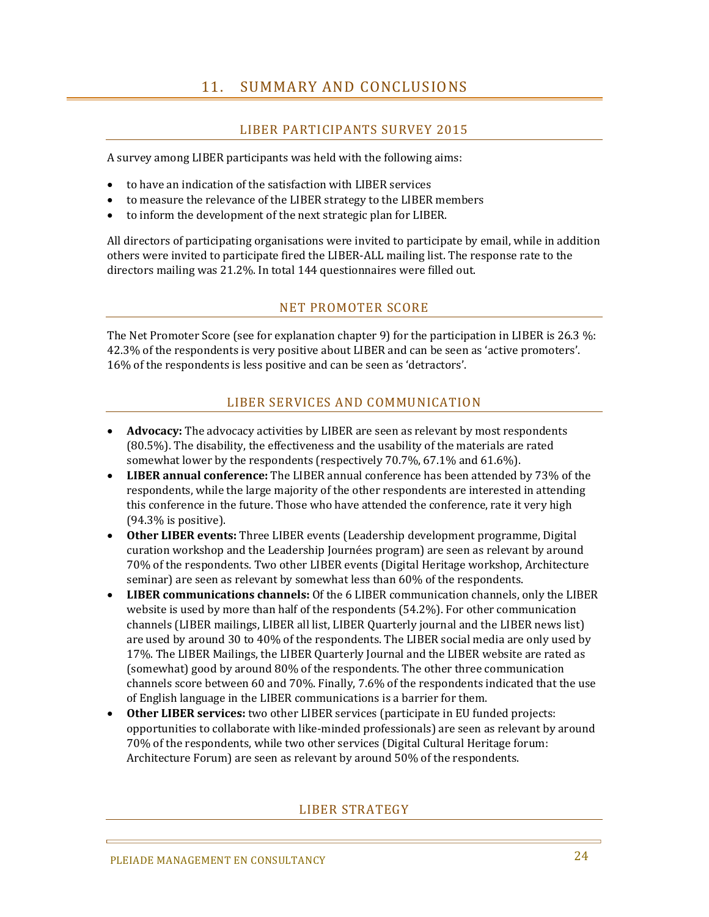### 11. SUMMARY AND CONCLUSIONS

### LIBER PARTICIPANTS SURVEY 2015

A survey among LIBER participants was held with the following aims:

- to have an indication of the satisfaction with LIBER services
- to measure the relevance of the LIBER strategy to the LIBER members
- $\bullet$  to inform the development of the next strategic plan for LIBER.

All directors of participating organisations were invited to participate by email, while in addition others were invited to participate fired the LIBER-ALL mailing list. The response rate to the directors mailing was 21.2%. In total 144 questionnaires were filled out.

### NET PROMOTER SCORE

The Net Promoter Score (see for explanation chapter 9) for the participation in LIBER is 26.3  $\%$ : 42.3% of the respondents is very positive about LIBER and can be seen as 'active promoters'. 16% of the respondents is less positive and can be seen as 'detractors'.

### LIBER SERVICES AND COMMUNICATION

- **Advocacy:** The advocacy activities by LIBER are seen as relevant by most respondents  $(80.5%)$ . The disability, the effectiveness and the usability of the materials are rated somewhat lower by the respondents (respectively 70.7%, 67.1% and 61.6%).
- LIBER **annual conference:** The LIBER annual conference has been attended by 73% of the respondents, while the large majority of the other respondents are interested in attending this conference in the future. Those who have attended the conference, rate it very high  $(94.3\%$  is positive).
- Other LIBER events: Three LIBER events (Leadership development programme, Digital curation workshop and the Leadership Journées program) are seen as relevant by around 70% of the respondents. Two other LIBER events (Digital Heritage workshop, Architecture seminar) are seen as relevant by somewhat less than 60% of the respondents.
- LIBER **communications channels:** Of the 6 LIBER communication channels, only the LIBER website is used by more than half of the respondents (54.2%). For other communication channels (LIBER mailings, LIBER all list, LIBER Quarterly journal and the LIBER news list) are used by around  $30$  to  $40\%$  of the respondents. The LIBER social media are only used by 17%. The LIBER Mailings, the LIBER Quarterly Journal and the LIBER website are rated as (somewhat) good by around 80% of the respondents. The other three communication channels score between 60 and 70%. Finally, 7.6% of the respondents indicated that the use of English language in the LIBER communications is a barrier for them.
- **Other LIBER services:** two other LIBER services (participate in EU funded projects: opportunities to collaborate with like-minded professionals) are seen as relevant by around 70% of the respondents, while two other services (Digital Cultural Heritage forum: Architecture Forum) are seen as relevant by around 50% of the respondents.

#### LIBER STRATEGY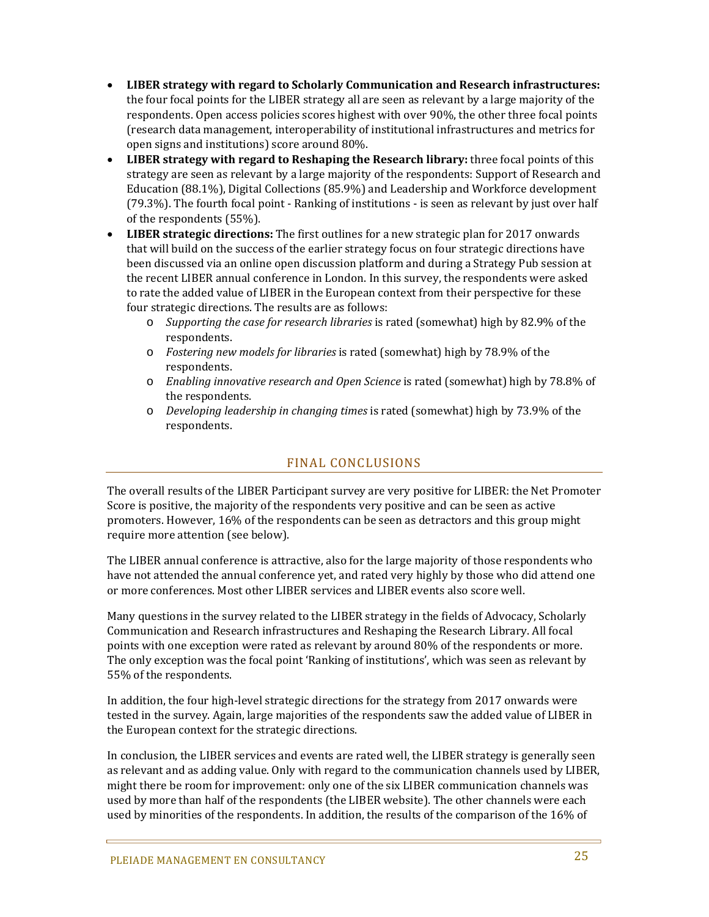- **LIBER strategy with regard to Scholarly Communication and Research infrastructures:** the four focal points for the LIBER strategy all are seen as relevant by a large majority of the respondents. Open access policies scores highest with over 90%, the other three focal points (research data management, interoperability of institutional infrastructures and metrics for open signs and institutions) score around 80%.
- LIBER strategy with regard to Reshaping the Research library: three focal points of this strategy are seen as relevant by a large majority of the respondents: Support of Research and Education (88.1%), Digital Collections (85.9%) and Leadership and Workforce development (79.3%). The fourth focal point - Ranking of institutions - is seen as relevant by just over half of the respondents (55%).
- LIBER strategic directions: The first outlines for a new strategic plan for 2017 onwards that will build on the success of the earlier strategy focus on four strategic directions have been discussed via an online open discussion platform and during a Strategy Pub session at the recent LIBER annual conference in London. In this survey, the respondents were asked to rate the added value of LIBER in the European context from their perspective for these four strategic directions. The results are as follows:
	- o *Supporting the case for research libraries* is rated (somewhat) high by 82.9% of the respondents.
	- o *Fostering new models for libraries* is rated (somewhat) high by 78.9% of the respondents.
	- o *Enabling innovative research and Open Science* is rated (somewhat) high by 78.8% of the respondents.
	- o *Developing leadership in changing times* is rated (somewhat) high by 73.9% of the respondents.

### FINAL CONCLUSIONS

The overall results of the LIBER Participant survey are very positive for LIBER: the Net Promoter Score is positive, the majority of the respondents very positive and can be seen as active promoters. However, 16% of the respondents can be seen as detractors and this group might require more attention (see below).

The LIBER annual conference is attractive, also for the large majority of those respondents who have not attended the annual conference vet, and rated very highly by those who did attend one or more conferences. Most other LIBER services and LIBER events also score well.

Many questions in the survey related to the LIBER strategy in the fields of Advocacy, Scholarly Communication and Research infrastructures and Reshaping the Research Library. All focal points with one exception were rated as relevant by around 80% of the respondents or more. The only exception was the focal point 'Ranking of institutions', which was seen as relevant by 55% of the respondents.

In addition, the four high-level strategic directions for the strategy from 2017 onwards were tested in the survey. Again, large majorities of the respondents saw the added value of LIBER in the European context for the strategic directions.

In conclusion, the LIBER services and events are rated well, the LIBER strategy is generally seen as relevant and as adding value. Only with regard to the communication channels used by LIBER, might there be room for improvement: only one of the six LIBER communication channels was used by more than half of the respondents (the LIBER website). The other channels were each used by minorities of the respondents. In addition, the results of the comparison of the 16% of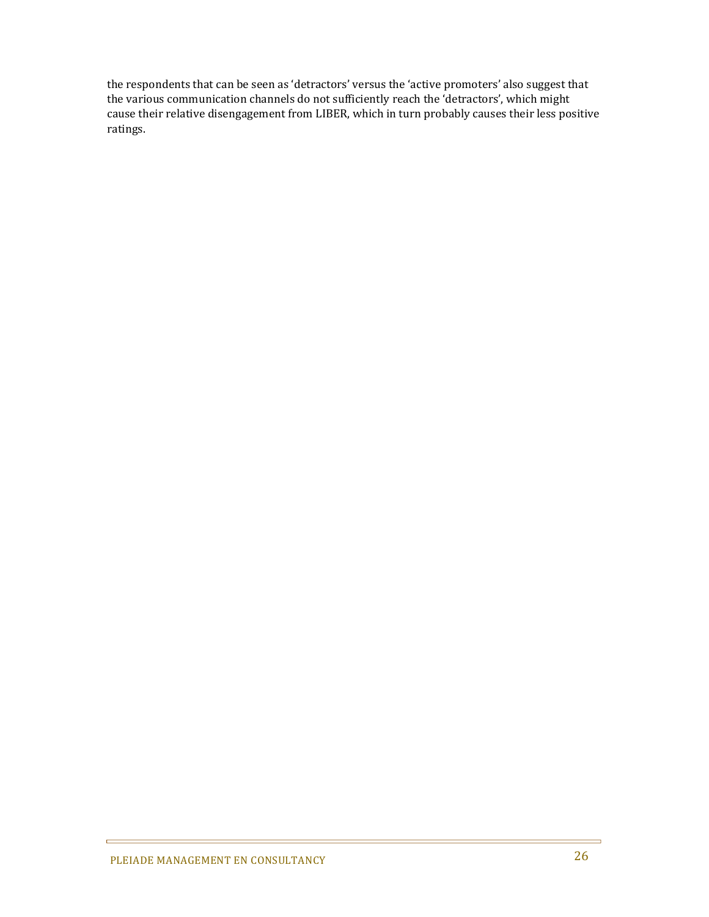the respondents that can be seen as 'detractors' versus the 'active promoters' also suggest that the various communication channels do not sufficiently reach the 'detractors', which might cause their relative disengagement from LIBER, which in turn probably causes their less positive ratings. 

ċ